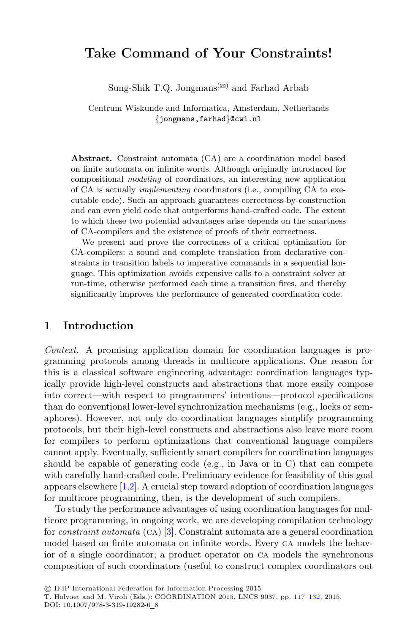# **Take Command of Your Constraints!**

Sung-Shik T.Q. Jongmans<sup>( $\boxtimes$ )</sup> and Farhad Arbab

Centrum Wiskunde and Informatica, Amsterdam, Netherlands {jongmans,farhad}@cwi.nl

**Abstract.** Constraint automata (CA) are a coordination model based on finite automata on infinite words. Although originally introduced for compositional *modeling* of coordinators, an interesting new application of CA is actually *implementing* coordinators (i.e., compiling CA to executable code). Such an approach guarantees correctness-by-construction and can even yield code that outperforms hand-crafted code. The extent to which these two potential advantages arise depends on the smartness of CA-compilers and the existence of proofs of their correctness.

We present and prove the correctness of a critical optimization for CA-compilers: a sound and complete translation from declarative constraints in transition labels to imperative commands in a sequential language. This optimization avoids expensive calls to a constraint solver at run-time, otherwise performed each time a transition fires, and thereby significantly improves the performance of generated coordination code.

# **1 Introduction**

*Context.* A promising application domain for coordination languages is programming protocols among threads in multicore applications. One reason for this is a classical software engineering advantage: coordination languages typically provide high-level constructs and abstractions that more easily compose [int](#page-14-0)[o](#page-14-1) correct—with respect to programmers' intentions—protocol specifications than do conventional lower-level synchronization mechanisms (e.g., locks or semaphores). However, not only do coordination languages simplify programming protocols, but their high-level constructs and abstractions also leave more room for compil[ers](#page-14-2) to perform optimizations that conventional language compilers cannot apply. Eventually, sufficiently smart compilers for coordination languages should be capable of generating code (e.g., in Java or in C) that can compete with carefully hand-crafted code. Preliminary evidence for feasibility of this goal appears elsewhere  $[1,2]$ . A crucial step toward adoption of coordination languages for multicore programming, then, is the development of such compilers.

To study the performance advantages of usi[ng c](#page-15-0)oordination languages for multicore programming, in ongoing work, we are developing compilation technology for *constraint automata* (ca) [3]. Constraint automata are a general coordination model based on finite automata on infinite words. Every ca models the behavior of a single coordinator; a product operator on ca models the synchronous composition of such coordinators (useful to construct complex coordinators out

<sup>-</sup>c IFIP International Federation for Information Processing 2015

T. Holvoet and M. Viroli (Eds.): COORDINATION 2015, LNCS 9037, pp. 117–132, 2015.

DOI: 10.1007/978-3-319-19282-6 8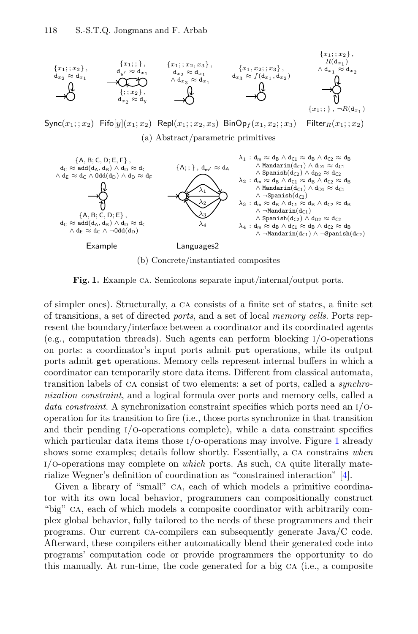<span id="page-1-2"></span><span id="page-1-1"></span><span id="page-1-0"></span>

Fig. 1. Example CA. Semicolons separate input/internal/output ports.

of simpler ones). Structurally, a ca consists of a finite set of states, a finite set of transitions, a set of directed *ports*, and a set of local *memory cells*. Ports represent the boundary/interface between a coordinator and its coordinated agents (e.g., computation threads). Such agents can perform blocking i/o-operations on ports: a coordinator's input ports admit put o[pe](#page-1-0)rations, while its output ports admit get operations. Memory cells represent internal buffers in which a coordinator can temporarily store data items. Different from classical automata, transition labels of ca consist of two elements: a set [of](#page-14-3) ports, called a *synchronization constraint*, and a logical formula over ports and memory cells, called a *data constraint*. A synchronization constraint specifies which ports need an i/ooperation for its transition to fire (i.e., those ports synchronize in that transition and their pending i/o-operations complete), while a data constraint specifies which particular data items those  $I/O$ -operations may involve. Figure 1 already shows some examples; details follow shortly. Essentially, a ca constrains *when* i/o-operations may complete on *which* ports. As such, ca quite literally materialize Wegner's definition of coordination as "constrained interaction" [4].

Given a library of "small" ca, each of which models a primitive coordinator with its own local behavior, programmers can compositionally construct "big" ca, each of which models a composite coordinator with arbitrarily complex global behavior, fully tailored to the needs of these programmers and their programs. Our current ca-compilers can subsequently generate Java/C code. Afterward, these compilers either automatically blend their generated code into programs' computation code or provide programmers the opportunity to do this manually. At run-time, the code generated for a big ca (i.e., a composite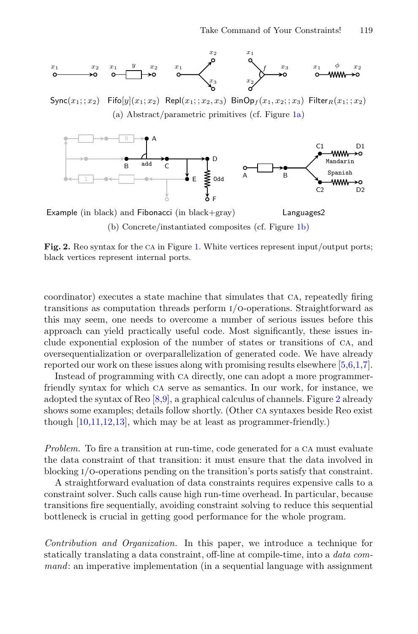<span id="page-2-2"></span><span id="page-2-1"></span><span id="page-2-0"></span>

 $\mathsf{Sync}(x_1;; x_2)$  Fifo $[y](x_1; x_2)$  Repl $(x_1;; x_2, x_3)$  BinOp $_f(x_1, x_2;; x_3)$  Filter $_R(x_1;; x_2)$ (a) Abstract/parametric primitives (cf. Figure 1a)



Example (in black) and Fibonacci (in black+gray) Languages2 (b) Concrete/instantiated composites (cf. Figure 1b)

**Fig. 2.** Reo syntax for the CA in Figure 1. White vertices represent input/output ports; black vertices represent internal ports.

coordinator) executes a state machine that simulates that ca, repeatedly firing transitio[ns](#page-15-1) [a](#page-15-2)s computation threads perform i/o-op[era](#page-2-0)tions. Straightforward as this may seem, one needs to overcome a number of serious issues before this [ap](#page-15-3)proach can yield practically useful code. Most significantly, these issues include exponential explosion of the number of states or transitions of ca, and oversequentialization or overparallelization of generated code. We have already reported our work on these issues along with promising results elsewhere [5,6,1,7].

Instead of programming with ca directly, one can adopt a more programmerfriendly syntax for which ca serve as semantics. In our work, for instance, we adopted the syntax of Reo  $[8,9]$ , a graphical calculus of channels. Figure 2 already shows some examples; details follow shortly. (Other ca syntaxes beside Reo exist though [10,11,12,13], which may be at least as programmer-friendly.)

*Problem.* To fire a transition at run-time, code generated for a CA must evaluate the data constraint of that transition: it must ensure that the data involved in blocking i/o-operations pending on the transition's ports satisfy that constraint.

A straightforward evaluation of data constraints requires expensive calls to a constraint solver. Such calls cause high run-time overhead. In particular, because transitions fire sequentially, avoiding constraint solving to reduce this sequential bottleneck is crucial in getting good performance for the whole program.

*Contribution and Organization.* In this paper, we introduce a technique for statically translating a data constraint, off-line at compile-time, into a *data command*: an imperative implementation (in a sequential language with assignment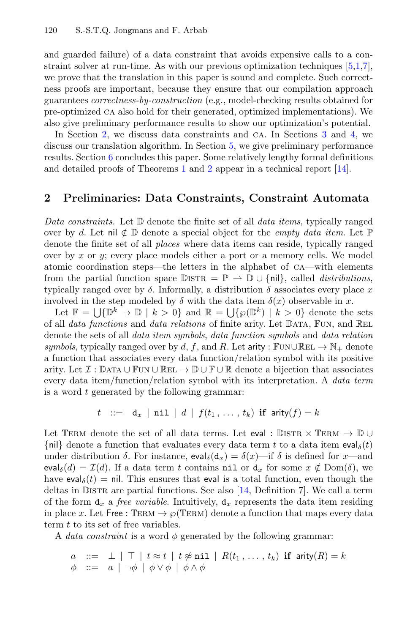and guarded failure) of a [da](#page-12-0)ta constraint that a[vo](#page-5-0)ids e[xp](#page-9-0)ensive calls to a constraint solver at run-time. As with our previous optimization techniques  $[5,1,7]$ , we prove that [the](#page-9-1) tra[ns](#page-12-1)lation in this paper is sound [and](#page-15-4) complete. Such correctness proofs are important, because they ensure that our compilation approach guarantees *correctness-by-construction* (e.g., model-checking results obtained for pre-optimized ca also hold for their generated, optimized implementations). We also give preliminary performance results to show our optimization's potential.

In Section 2, we discuss data constraints and ca. In Sections <sup>3</sup> and 4, we discuss our translation algorithm. In Section 5, we give preliminary performance results. Section 6 concludes this paper. Some relatively lengthy formal definitions and detailed proofs of Theorems 1 and 2 appear in a technical report [14].

# **2 Preliminaries: Data Constraints, Constraint Automata**

*Data constraints.* Let D denote the finite set of all *data items*, typically ranged over by d. Let nil  $\notin \mathbb{D}$  denote a special object for the *empty data item*. Let  $\mathbb{P}$ denote the finite set of all *places* where data items can reside, typically ranged over by x or y; every place models either a port or a memory cells. We model atomic coordination steps—the letters in the alphabet of ca—with elements from the partial function space  $\mathbb{D} \text{ISTR} = \mathbb{P} \to \mathbb{D} \cup \{\text{nil}\},$  called *distributions*, typically ranged over by  $\delta$ . Informally a distribution  $\delta$  associates every place x typically ranged over by  $\delta$ . Informally, a distribution  $\delta$  associates every place x involved in the step modeled by  $\delta$  with the data item  $\delta(x)$  observable in x.

Let  $\mathbb{F} = \bigcup \{ \mathbb{D}^k \to \mathbb{D} \mid k > 0 \}$  and  $\mathbb{R} = \bigcup \{ \wp(\mathbb{D}^k) \mid k > 0 \}$  denote the sets of all *data functions* and *data relations* of finite arity. Let DATA, FUN, and REL denote the sets of all *data item symbols*, *data function symbols* and *data relation symbols*, typically ranged over by d, f, and R. Let arity : FUN∪REL  $\rightarrow$  N<sub>+</sub> denote a function that associates every data function/relation symbol with its positive arity. Let  $\mathcal{I}: \mathbb{D}$ ATA ∪ FUN ∪ REL  $\rightarrow \mathbb{D} \cup \mathbb{F} \cup \mathbb{R}$  denote a bijection that associates every data item/function/relation symbol with its interpretation. A *data term* is a word t generated by the following grammar:

$$
t \ ::= \ d_x \ | \ \mathtt{nil} \ | \ d \ | \ f(t_1, \ \ldots \ , \ t_k) \ \mathtt{if} \ \mathtt{arity}(f) = k
$$

Let TERM denote the set of all data terms. Let eval : DISTR  $\times$  TERM  $\rightarrow$  D ∪ {nil} denote a function that evaluates every data term t to a data item  $\mathsf{eval}_{\delta}(t)$ under distribution  $\delta$ . For instance,  $eval_{\delta}(d_x) = \delta(x)$ —if  $\delta$  is defined for x—and eval<sub>δ</sub>(d) =  $\mathcal{I}(d)$ . If a data term t contains nil or  $d_x$  for some  $x \notin \text{Dom}(\delta)$ , we have eval<sub>δ</sub>(t) = nil. This ensures that eval is a total function, even though the deltas in  $\mathbb{D} \to \mathbb{D}$  are partial functions. See also [14, Definition 7]. We call a term of the form  $d_x$  a *free variable*. Intuitively,  $d_x$  represents the data item residing in place x. Let Free : TERM  $\rightarrow \wp(\text{TERM})$  denote a function that maps every data term t to its set of free variables.

A *data constraint* is a word  $\phi$  generated by the following grammar:

$$
\begin{array}{lll} a & ::= & \bot \mid \top \mid t \approx t \mid t \not\approx \mathtt{nil} \mid R(t_1, \ldots, t_k) \text{ if } \mathtt{arity}(R) = k \\ \phi & ::= & a \mid \neg \phi \mid \phi \vee \phi \mid \phi \wedge \phi \end{array}
$$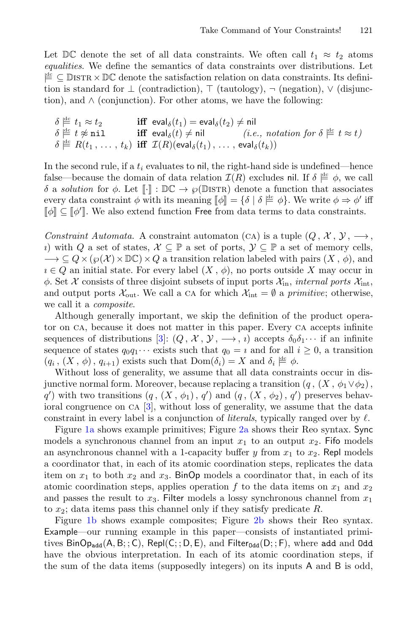Let DC denote the set of all data constraints. We often call  $t_1 \approx t_2$  atoms *equalities*. We define the semantics of data constraints over distributions. Let  $\frac{d^{\epsilon}}{\epsilon} \subseteq \mathbb{D}$ ISTR  $\times \mathbb{DC}$  denote the satisfaction relation on data constraints. Its defini-<br>tion is standard for  $\bot$  (contradiction)  $\top$  (tautology)  $\neg$  (negation)  $\vee$  (disjungtion is standard for  $\perp$  (contradiction),  $\perp$  (tautology),  $\neg$  (negation),  $\vee$  (disjunction), and  $\wedge$  (conjunction). For other atoms, we have the following:

$$
\delta \stackrel{\text{def}}{=} t_1 \approx t_2 \qquad \text{iff} \text{eval}_{\delta}(t_1) = \text{eval}_{\delta}(t_2) \neq \text{nil} \qquad (i.e., \text{ notation for } \delta \stackrel{\text{def}}{=} t \approx t) \\\delta \stackrel{\text{def}}{=} R(t_1, \ldots, t_k) \text{ iff } \mathcal{I}(R)(\text{eval}_{\delta}(t_1), \ldots, \text{eval}_{\delta}(t_k))
$$

In the second rule, if a  $t_i$  evaluates to nil, the right-hand side is undefined—hence false—because the domain of data relation  $\mathcal{I}(R)$  excludes nil. If  $\delta \stackrel{\text{def}}{=} \phi$ , we call  $\delta$  a solution for  $\phi$ . Let  $\mathbb{L} \cdot \mathbb{D} \mathbb{C} \to \phi(\mathbb{D} \text{is}\text{rep})$  denote a function that associates  $\delta$  a *solution* for φ. Let  $\llbracket \cdot \rrbracket$  :  $\mathbb{D}\mathbb{C} \to \wp(\mathbb{D} \text{ISTR})$  denote a function that associates every data constraint φ with its meaning  $\llbracket \phi \rrbracket = \delta \mid \delta \mid \frac{d\phi}{d\lambda}$ . We write φ  $\Rightarrow \phi'$  iff every data constraint  $\phi$  with its meaning  $[\![\phi]\!] = {\delta \mid \delta \models \phi}$ . We write  $\phi \Rightarrow \phi'$  iff  $\llbracket \phi \rrbracket \subseteq \llbracket \phi' \rrbracket$ . We also extend function Free from data terms to data constraints.

*Constraint Automata.* A constraint automaton (CA) is a tuple  $(Q, \mathcal{X}, \mathcal{Y}, \longrightarrow,$ *i*) with Q [a](#page-14-2) set of states,  $X \subseteq \mathbb{P}$  a set of ports,  $Y \subseteq \mathbb{P}$  a set of memory cells,  $\longrightarrow \subseteq Q \times (\varphi(\mathcal{X}) \times \mathbb{DC}) \times Q$  a transition relation labeled with pairs  $(X, \phi)$ , and  $i \in Q$  an initial state. For every label  $(X, \phi)$ , no ports outside X may occur in  $\phi$ . Set  $\mathcal X$  consists of three disjoint subsets of input ports  $\mathcal X_{\text{in}}$ , *internal ports*  $\mathcal X_{\text{int}}$ , and output ports  $\mathcal{X}_{out}$ . We call a CA for which  $\mathcal{X}_{int} = \emptyset$  a *primitive*; otherwise, we call it a *composite*.

Alt[ho](#page-14-2)ugh generally important, we skip the definition of the product operator on ca, because it does not matter in this paper. Every ca accepts infinite sequences of distributions [3]:  $(Q, \mathcal{X}, \mathcal{Y}, \longrightarrow, \iota)$  accepts  $\delta_0 \delta_1 \cdots$  if an infinite sequence of states  $q_0q_1\cdots$  exists such that  $q_0 = i$  and for all  $i \geq 0$ , a transition  $(q_i, (X, \phi), q_{i+1})$  exists such that  $Dom(\delta_i) = X$  and  $\delta_i \stackrel{\text{def}}{=} \phi$ .

Without loss of generality, we assume that all data constraints occur in disjunctive normal form. Moreover, because replacing a transition  $(q, (X, \phi_1 \vee \phi_2),$ q') with two transitions  $(q, (X, \phi_1), q')$  and  $(q, (X, \phi_2), q')$  preserves behavioral congruence on ca [3], without loss of generality, we assume that the data constraint in every label is a conjunction of *literals*, typically ranged over by  $\ell$ .

Figure 1a shows example pri[miti](#page-2-2)ves; Figure 2a shows their Reo syntax. Sync models a synchronous channel from an input  $x_1$  to an output  $x_2$ . Fifo models an asynchronous channel with a 1-capacity buffer  $y$  from  $x_1$  to  $x_2$ . Repl models a coordinator that, in each of its atomic coordination steps, replicates the data item on  $x_1$  to both  $x_2$  and  $x_3$ . BinOp models a coordinator that, in each of its atomic coordination steps, applies operation f to the data items on  $x_1$  and  $x_2$ and passes the result to  $x_3$ . Filter models a lossy synchronous channel from  $x_1$ to  $x_2$ ; data items pass this channel only if they satisfy predicate R.

Figure 1b shows example composites; Figure 2b shows their Reo syntax. Example—our running example in this paper—consists of instantiated primitives  $\text{BinOp}_{\text{add}}(A, B; ; C)$ ,  $\text{Rep}(C; ; D, E)$ , and  $\text{Filter}_{\text{Odd}}(D; ; F)$ , where add and Odd have the obvious interpretation. In each of its atomic coordination steps, if the sum of the data items (supposedly integers) on its inputs A and B is odd,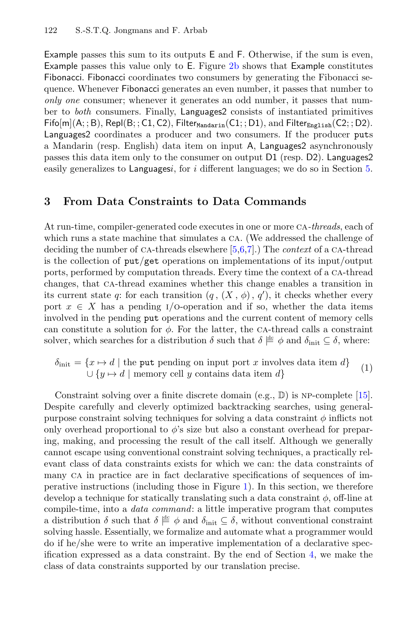<span id="page-5-0"></span>Example passes this sum to its outputs E and F. Otherwise, if the sum is even, Example passes this value only to E. Figure 2b shows that Example constitutes Fibonacci. Fibonacci coordinates two consumers by generati[ng](#page-12-0) the Fibonacci sequence. Whenever Fibonacci generates an even number, it passes that number to *only one* consumer; whenever it generates an odd number, it passes that number to *both* consumers. Finally, Languages2 consists of instantiated primitives  $Fifo[m](A; B)$ ,  $Rep(B; C1, C2)$ ,  $Filter_{Mandarin}(C1; D1)$ , and  $Filter<sub>English</sub>(C2; D2)$ . Languages2 coordinates a producer and two consumers. If the producer put<sup>s</sup> a Mandarin (resp. English) data item on input A, Languages2 asynchronously passes this data item only [to](#page-14-4) [th](#page-15-5)[e](#page-15-6) consumer on output D1 (resp. D2). Languages2 easily generalizes to Languagesi, for  $i$  different languages; we do so in Section 5.

# **3 From Data Constraints to Data Commands**

At run-time, compiler-generated code executes in one or more ca*-threads*, each of which runs a state machine that simulates a CA. (We addressed the challenge of deciding the number of ca-threads elsewhere [5,6,7].) The *context* of a ca-thread is the collection of put/get operations on implementations of its input/output ports, performed by computation threads. Every time the context of a ca-thread changes, that ca-thread examines whether this change enables a transition in its current state q: for each transition  $(q, (X, \phi), q')$ , it checks whether every port  $x \in X$  has a pending I/O-operation and if so, w[heth](#page-15-7)er the data items involved in the pending put operations and the current content of memory cells can constitute a solution for  $\phi$ . For the latter, the CA-thread calls a constraint solver, which searches for a distribution  $\delta$  such that  $\delta \nightharpoonup \phi$  and  $\delta_{\text{init}} \subseteq \delta$ , where:

 $\delta_{\text{init}} = \{x \mapsto d \mid \text{the put pending on input port } x \text{ involves data item } d\}$  $U \rightarrow a + \text{the part perning on input port } x \text{ involves data term } a_f$ <br> $\cup \{y \mapsto d \mid \text{memory cell } y \text{ contains data item } d\}$  (1)

Constraint solving over a fi[ni](#page-1-0)te discrete domain (e.g.,  $\mathbb{D}$ ) is NP-complete [15]. Despite carefully and cleverly optimized backtracking searches, using generalpurpose constraint solving techniques for solving a data constraint  $\phi$  inflicts not only overhead proportional to  $\phi$ 's size but also a constant overhead for preparing, making, and processing the result of the call itself. Although we generally cannot escape using conventional constraint solving techniques, a practically relevant class of data constraints exists for whi[ch](#page-9-0) we can: the data constraints of many ca in practice are in fact declarative specifications of sequences of imperative instructions (including those in Figure 1). In this section, we therefore develop a technique for statically translating such a data constraint  $\phi$ , off-line at compile-time, into a *data command*: a little imperative program that computes a distribution  $\delta$  such that  $\delta \nightharpoonup \phi$  and  $\delta_{\text{init}} \subseteq \delta$ , without conventional constraint solving hassle. Essentially, we formalize and automate what a programmer would do if he/she were to write an imperative implementation of a declarative specification expressed as a data constraint. By the end of Section 4, we make the class of data constraints supported by our translation precise.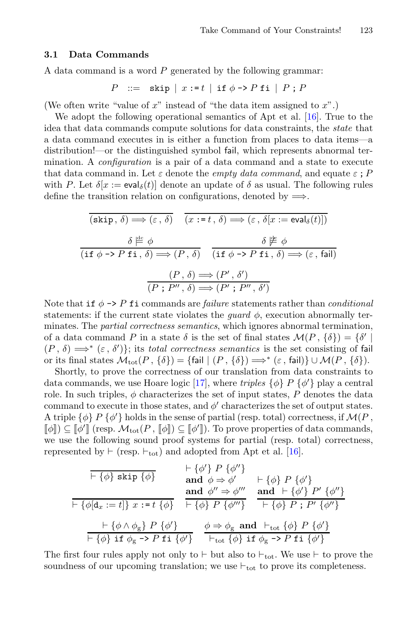### **3.1 Data Commands**

A data command is a word  $P$  generated by the following grammar:

$$
P ::= \text{skip} | x := t | \text{if } \phi \text{->} P \text{fi} | P ; P
$$

(We often write "value of  $x$ " instead of "the data item assigned to  $x$ ".)

We adopt the following operational semantics of Apt et al. [16]. True to the idea that data commands compute solutions for data constraints, the *state* that a data command executes in is either a function from places to data items—a distribution!—or the distinguished symbol fail, which represents abnormal termination. A *configuration* is a pair of a data command and a state to execute that data command in. Let  $\varepsilon$  denote the *empty data command*, and equate  $\varepsilon$ ; P with P. Let  $\delta[x := eval_{\delta}(t)]$  denote an update of  $\delta$  as usual. The following rules define the transition relation on configurations, denoted by  $\Longrightarrow$ .

$$
\overline{(\text{skip}, \delta)} \implies (\varepsilon, \delta) \quad \overline{(x := t, \delta)} \implies (\varepsilon, \delta[x := \text{eval}_{\delta}(t)])
$$
\n
$$
\frac{\delta \not\equiv \phi}{(\text{if } \phi \rightarrow P \text{ fi}, \delta) \implies (P, \delta) \quad (\text{if } \phi \rightarrow P \text{ fi}, \delta) \implies (\varepsilon, \text{fail})}
$$
\n
$$
\frac{(P, \delta) \implies (P', \delta')}{(P, P'', \delta) \implies (P', P'', \delta')}
$$

Note that if  $\phi \rightarrow P$  $\phi \rightarrow P$  fi commands are *failure* statements rather than *conditional* statements: if the current state violates the *guard*  $\phi$ , execution abnormally terminates. The *partial correctness semantics*, which ignores abnormal termination, of a data command P in a state  $\delta$  is the set of final states  $\mathcal{M}(P, \{\delta\}) = \{\delta' |$  $(P, \delta) \Longrightarrow^* (\varepsilon, \delta')$ ; its *total correctness semantics* is the set consisting of fail or its final states  $M_{\varepsilon}(P, \delta) = f_0$   $j_1$   $(p, \delta)$   $\Longrightarrow^* (\varepsilon, f_2)$   $j_2$   $j_3$   $j_4$   $j_5$   $j_6$ or its final states  $\mathcal{M}_{\text{tot}}(P, \{\delta\}) = \{\text{fail} \mid (P, \{\delta\}) \Longrightarrow^*(\varepsilon, \text{fail})\} \cup \mathcal{M}(P, \{\delta\}).$ 

Shortly, to prove the correctness of our translation from data constraints to data commands, we use Hoare logic [17], where *triples*  $\{\phi\}$  P  $\{\phi'\}$  play a central role. In such triples,  $\phi$  characterizes the set of input states, P denotes the data command to execute in those states, and  $\phi'$  characterizes the set of output states. A triple  $\{\phi\}$  P  $\{\phi'\}$  holds in the sense of partial (resp. total) correctness, if  $\mathcal{M}(P)$ ,  $[\![\phi]\!]$   $\subseteq$   $[\![\phi']\!]$  (resp.  $\mathcal{M}_{\text{tot}}(P, [\![\phi]\!]) \subseteq [\![\phi']\!]$ ). To prove properties of data commands, we use the following sound proof systems for partial (resp. total) correctness, represented by  $\vdash$  (resp.  $\vdash_{\text{tot}}$ ) and adopted from Apt et al. [16].

$$
\frac{\vdash \{\phi\} \text{ skip } \{\phi\}}{\vdash \{\phi[a_x := t]\} \ x := t \ \{\phi\}} \quad \frac{\vdash \{\phi'\} \ P \ \{\phi''\}}{\text{and } \phi \Rightarrow \phi'} \quad \frac{\vdash \{\phi\} \ P \ \{\phi'\}}{\text{and } \phi'' \Rightarrow \phi'''} \quad \frac{\text{and } \vdash \{\phi'\} \ P' \ \{\phi''\}}{\vdash \{\phi\} \ P \ \{\phi''\}} \quad \frac{\text{and } \vdash \{\phi'\} \ P' \ \{\phi''\}}{\vdash \{\phi\} \ P \ \{\phi''\}} \quad \frac{\vdash \{\phi \} \ P \ \{\phi''\}}{\vdash \{\phi\} \ P \ \{\phi'\}} \quad \frac{\vdash \{\phi \land \phi_g\} \ P \ \{\phi'\}}{\vdash \{\phi\} \ \text{if } \phi_g \neg P \ \text{fi } \{\phi'\}} \quad \frac{\phi \Rightarrow \phi_g \ \text{and } \vdash_{\text{tot}} \{\phi\} \ P \ \{\phi'\}}{\vdash_{\text{tot}} \{\phi\} \ \text{if } \phi_g \neg P \ \text{fi } \{\phi'\}}
$$

The first four rules apply not only to  $\vdash$  but also to  $\vdash_{\text{tot}}$ . We use  $\vdash$  to prove the soundness of our upcoming translation; we use  $\vdash_{\text{tot}}$  to prove its completeness.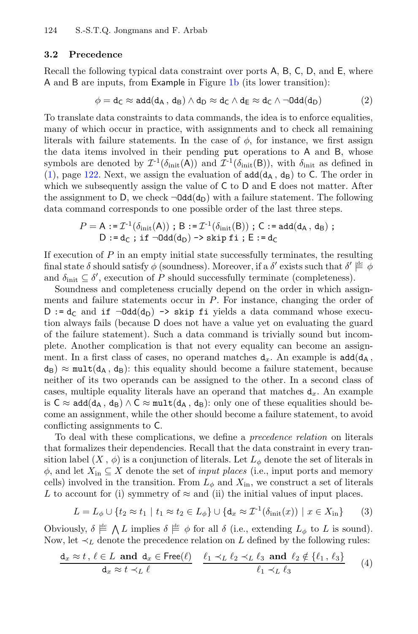#### <span id="page-7-1"></span>**3.2 Precedence**

Recall the following typical data constraint over ports A, B, C, D, and E, where A and B are inputs, from Example in Figure 1b (its lower transition):

<span id="page-7-0"></span>
$$
\phi = \texttt{d}_\mathsf{C} \approx \texttt{add}(\texttt{d}_\mathsf{A}\,,\,\texttt{d}_\mathsf{B}) \land \texttt{d}_\mathsf{D} \approx \texttt{d}_\mathsf{C} \land \texttt{d}_\mathsf{E} \approx \texttt{d}_\mathsf{C} \land \lnot \texttt{Odd}(\texttt{d}_\mathsf{D}) \tag{2}
$$

To translate data constraints to data commands, the idea is to enforce equalities, many of which occur in practice, with assignments and to check all remaining literals with failure statements. In the case of  $\phi$ , for instance, we first assign the data items involved in their pending put operations to A and B, whose symbols are denoted by  $\mathcal{I}^{-1}(\delta_{\rm init}(A))$  and  $\mathcal{I}^{-1}(\delta_{\rm init}(B))$ , with  $\delta_{\rm init}$  as defined in (1), page 122. Next, we assign the evaluation of  $\text{add}(\text{d}_{A}, \text{d}_{B})$  to C. The order in which we subsequently assign the value of  $C$  to  $D$  and  $E$  does not matter. After the assignment to D, we check  $\neg \text{Odd}(d_D)$  with a failure statement. The following data command corresponds to one possible order of the last three steps.

<span id="page-7-2"></span>
$$
P = \mathsf{A} := \mathcal{I}^{-1}(\delta_{\mathrm{init}}(\mathsf{A})) \text{ ; } \mathsf{B} := \mathcal{I}^{-1}(\delta_{\mathrm{init}}(\mathsf{B})) \text{ ; } \mathsf{C} := \mathsf{add}(\mathsf{d}_{\mathsf{A}}, \mathsf{d}_{\mathsf{B}}) \text{ ; } \\ \mathsf{D} := \mathsf{d}_{\mathsf{C}} \text{ ; } \mathsf{if} \neg \mathsf{Odd}(\mathsf{d}_{\mathsf{D}}) \rightarrow \mathsf{skip} \ \mathsf{fi} \text{ ; } \mathsf{E} := \mathsf{d}_{\mathsf{C}}
$$

If execution of  $P$  in an empty initial state successfully terminates, the resulting final state  $\delta$  should satisfy  $\phi$  (soundness). Moreover, if a  $\delta'$  exists such that  $\delta' \stackrel{\text{def}}{=} \phi$ and  $\delta_{\text{init}} \subseteq \delta'$ , execution of P should successfully terminate (completeness).

Soundness and completeness crucially depend on the order in which assignments and failure statements occur in  $P$ . For instance, changing the order of  $D := d_C$  and if  $\neg Odd(d_D) \rightarrow skip$  fi yields a data command whose execution always fails (because D does not have a value yet on evaluating the guard of the failure statement). Such a data command is trivially sound but incomplete. Another complication is that not every equality can become an assignment. In a first class of cases, no operand matches  $d_x$ . An example is  $\text{add}(d_A)$ ,  $d_B$ )  $\approx$  mult $(d_A, d_B)$ : this equality should become a failure statement, because neither of its two operands can be assigned to the other. In a second class of cases, multiple equality literals have an operand that matches  $d_x$ . An example is  $C \approx \text{add}(d_A, d_B) \wedge C \approx \text{mult}(d_A, d_B)$ : only one of these equalities should become an assignment, while the other should become a failure statement, to avoid conflicting assignments to C.

To deal with these complications, we define a *precedence relation* on literals that formalizes their dependencies. Recall that the data constraint in every transition label  $(X, \phi)$  is a conjunction of literals. Let  $L_{\phi}$  denote the set of literals in  $\phi$ , and let  $X_{\text{in}} \subseteq X$  denote the set of *input places* (i.e., input ports and memory cells) involved in the transition. From  $L_{\phi}$  and  $X_{\text{in}}$ , we construct a set of literals L to account for (i) symmetry of  $\approx$  and (ii) the initial values of input places.

$$
L = L_{\phi} \cup \{ t_2 \approx t_1 \mid t_1 \approx t_2 \in L_{\phi} \} \cup \{ d_x \approx \mathcal{I}^{-1}(\delta_{\text{init}}(x)) \mid x \in X_{\text{in}} \}
$$
 (3)

Obviously,  $\delta \stackrel{\text{def}}{=} \bigwedge L$  implies  $\delta \stackrel{\text{def}}{=} \phi$  for all  $\delta$  (i.e., extending  $L_{\phi}$  to L is sound). Now, let  $\prec_L$  denote the precedence relation on L defined by the following rules:

$$
\frac{\mathbf{d}_x \approx t, \ \ell \in L \ \text{and} \ \mathbf{d}_x \in \text{Free}(\ell)}{\mathbf{d}_x \approx t \prec_L \ell} \quad \frac{\ell_1 \prec_L \ell_2 \prec_L \ell_3 \ \text{and} \ \ell_2 \notin \{\ell_1, \ell_3\}}{\ell_1 \prec_L \ell_3} \tag{4}
$$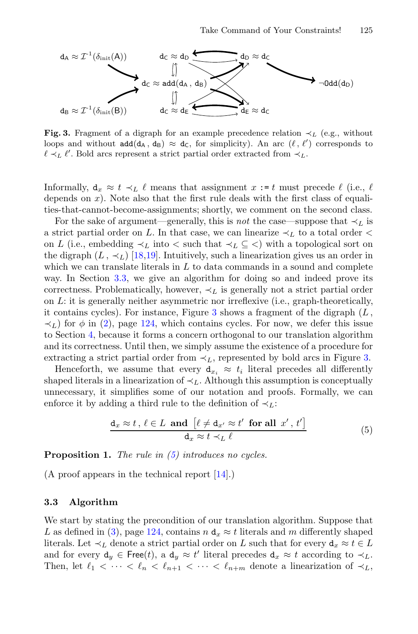<span id="page-8-1"></span>

**Fig. 3.** Fragment of a digraph for an example precedence relation  $\prec_L$  (e.g., without loops and without  $add(d_A, d_B) \approx d_C$ , for simplicity). An arc  $(\ell, \ell')$  corresponds to  $\ell \prec_L \ell'$ . Bold arcs represent a strict partial order extracted from  $\prec_L$ .

[Inf](#page-8-0)ormally,  $d_x \approx t \prec_L \ell$  means that assignment  $x := t$  must precede  $\ell$  (i.e.,  $\ell$ depends on  $x$ ). Note also that the first rule deals with the first class of equalities-that-cannot-become-assignments; shortly, we comment on the second class.

<span id="page-8-2"></span>For the sake of argu[m](#page-8-1)ent—generally, this is *not* the case—suppose that  $\prec_L$  is a str[ict p](#page-7-0)artial order on L. In that case, we can linearize  $\prec_L$  to a total order  $\prec$ on L (i.e., embedding  $\prec_L$  into  $\prec$  such that  $\prec_L \subseteq \prec$ ) with a topological sort on the digraph  $(L, \prec_L)$  [18,19]. Intuitively, such a linearization gives us an order in which we can translate literals in  $L$  to data commands in a [so](#page-8-1)und and complete way. In Section 3.3, we give an algorithm for doing so and indeed prove its correctness. Problematically, however,  $\prec_L$  is generally not a strict partial order on L: it is generally neither asymmetric nor irreflexive (i.e., graph-theoretically, it contains cycles). For instance, Figure  $3$  shows a fragment of the digraph  $(L,$  $\prec_L$ ) for  $\phi$  in (2), page 124, which contains cycles. For now, we defer this issue to Section 4, because it forms a concern orthogonal to our translation algorithm and its correctness. Until then, we simply assume the existence of a procedure for extracting a strict partial order from  $\prec_L$ , represented by bold arcs in Figure 3.

<span id="page-8-0"></span>Hencefort[h,](#page-8-2) we assume that every  $d_{x_i} \approx t_i$  literal precedes all differently shaped literals in a linearization of  $\prec_L$ . Although this assumption is conceptually unnecessary, it simplifi[es](#page-15-4) some of our notation and proofs. Formally, we can enforce it by adding a third rule to the definition of  $\prec_L$ :

$$
\frac{\mathrm{d}_x \approx t, \, \ell \in L \text{ and } \left[\ell \neq \mathrm{d}_{x'} \approx t' \text{ for all } x', \, t'\right]}{\mathrm{d}_x \approx t \prec_L \ell} \tag{5}
$$

**Proposition 1.** *The rule in (5) introduces no cycles.*

(A proof appears in the technical report [14].)

### **3.3 Algorithm**

We start by stating the precondition of our translation algorithm. Suppose that L as defined in (3), page 124, contains  $n \, \mathsf{d}_x \approx t$  literals and m differently shaped literals. Let  $\prec_L$  denote a strict partial order on L such that for every  $d_x \approx t \in L$ and for every  $d_y \in \text{Free}(t)$ , a  $d_y \approx t'$  literal precedes  $d_x \approx t$  according to  $\prec_L$ . Then, let  $\ell_1 < \cdots < \ell_n < \ell_{n+1} < \cdots < \ell_{n+m}$  denote a linearization of  $\prec_L$ ,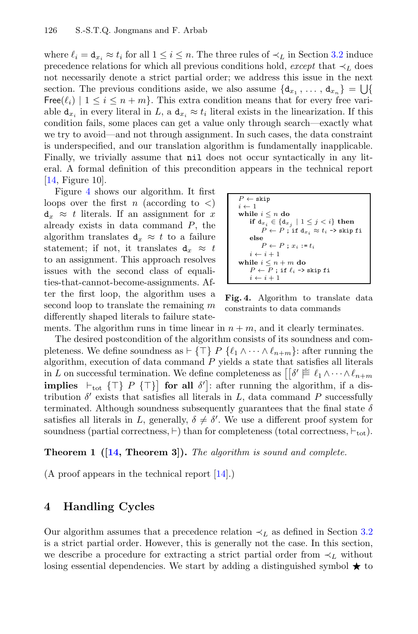where  $\ell_i = \mathbf{d}_{x_i} \approx t_i$  for all  $1 \leq i \leq n$ . The three rules of  $\prec_L$  in Section 3.2 induce precedence relations for which all previous conditions hold, *except* that  $\prec_L$  does not necessarily denote a strict partial order; we address this issue in the next section. The previous conditions aside, we also assume  $\{d_{x_1}, \ldots, d_{x_n}\} = \bigcup \{$ Free( $\ell_i$ ) |  $1 \leq i \leq n+m$  }. This extra condition means that for every free variable  $d_{x_i}$  in every literal in L, a  $d_{x_i} \approx t_i$  literal exists in the linearization. If this condition fails, some places can get a value only through search—exactly what we try to avoid—and not through assignment. In such cases, the data constraint is underspecified, and our translation algorithm is fundamentally inapplicable. Finally, we trivially assume that nil does not occur syntactically in any literal. A formal definition of this precondition appears in the technical report [14, Figure 10].

Figure 4 shows our algorithm. It first loops over the first n (according to  $\lt$ )  $d_x \approx t$  literals. If an assignment for x already exists in data command  $P$ , the algorithm translates  $d_x \approx t$  to a failure statement; if not, it translates  $d_x \approx t$ to an assignment. This approach resolves issues with the second class of equalities-that-cannot-become-assignments. After the first loop, the algorithm uses a second loop to translate the remaining  $m$ differently shaped literals to failure state-



**Fig. 4.** Algorithm to translate data constraints to data commands

<span id="page-9-1"></span><span id="page-9-0"></span>ments. The algorithm runs in time linear in  $n + m$ , and it clearly terminates.

The desired postcondition of the algorithm consists of its soundness and completeness. We define soundness as  $\vdash \{\top\} \, P \, \{\ell_1 \wedge \cdots \wedge \ell_{n+m}\}$ : after running the [a](#page-15-4)lgorithm, execution of data command  $P$  yields a state that satisfies all literals in L on successful termination. We define completeness as  $\left[\delta' \right] \stackrel{\text{dc}}{=} \ell_1 \wedge \cdots \wedge \ell_{n+m}$ **implies**  $\vdash_{\text{tot}} \{\top\}$  *P*  $\{\top\}$  **for all**  $\delta'$ : after running the algorithm, if a distribution  $\delta'$  exists that satisfies all literals in L, data command P successfully terminated. Although soundness subsequently guarantees that the final state  $\delta$ satisfies all literals in L, generally,  $\delta \neq \delta'$ . We use a different proof system for soundness (partial correctness,  $\vdash$ ) than for completeness (total correctness,  $\vdash_{\text{tot}}$ ).

**Theorem 1 ([14, Theorem 3]).** *The algorithm is soun[d](#page-7-1) [an](#page-7-1)d complete.*

(A proof appears in the technical report [14].)

# **4 Handling Cycles**

Our algorithm assumes that a precedence relation  $\prec_L$  as defined in Section 3.2 is a strict partial order. However, this is generally not the case. In this section, we describe a procedure for extracting a strict partial order from  $\prec_L$  without losing essential dependencies. We start by adding a distinguished symbol  $\star$  to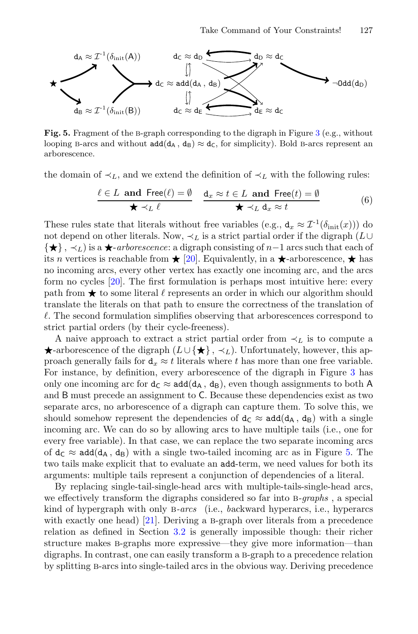<span id="page-10-1"></span><span id="page-10-0"></span>

**Fig. 5.** Fragment of the b-graph corresponding to the digraph in Figure <sup>3</sup> (e.g., without looping B-arcs and without  $\text{add}(\text{d}_A, \text{d}_B) \approx \text{d}_C$ , for simplicity). Bold B-arcs represent an arborescence.

the domain of  $\prec_L$ [,](#page-15-10) and we extend the definition of  $\prec_L$  with the following rules:

$$
\frac{\ell \in L \text{ and Free}(\ell) = \emptyset}{\bigstar \prec_L \ell} \quad \frac{\mathrm{d}_x \approx t \in L \text{ and Free}(t) = \emptyset}{\bigstar \prec_L \mathrm{d}_x \approx t} \tag{6}
$$

These rules state that literals without free variables (e.g.,  $d_x \approx \mathcal{I}^{-1}(\delta_{\text{init}}(x))$ ) do not depend on other literals. Now,  $\prec_L$  is a strict partial order if the digraph ( $L \cup$  ${\{\star\}}$ ,  $\prec_L$ ) is a  $\star$ *-arborescence*: a digraph consisting of *n*-1 arcs such that each of its *n* vertices is reachable from  $\star$  [20]. Equivalently, in a  $\star$ -arborescence,  $\star$  has no incoming arcs, every other vertex has exactly one incoming arc, and the arcs form no cycles [20]. The first formulation is perhaps m[ost](#page-8-1) intuitive here: every path from  $\star$  to some literal  $\ell$  represents an order in which our algorithm should translate the literals on that path to ensure the correctness of the translation of  $\ell$ . The second formulation simplifies observing that arborescences correspond to strict partial orders (by their cycle-freeness).

A naive approach to extract a strict partial order from  $\prec_L$  is to compute a  $\star$ -arborescence of the digraph  $(L \cup {\star}, \prec_L)$ . Unfortunately, however, this approach generally fails for  $d_x \approx t$  literals whe[re](#page-10-0) than one free variable. For instance, by definition, every arborescence of the digraph in Figure 3 has only one incoming arc for  $d_C \approx add(d_A, d_B)$ , even though assignments to both A and B must precede an assignment to C. Because these dependencies exist as two separate arcs, no arborescence of a digraph can capture them. To solve this, we should somehow represent the dependencies of  $d_C \approx add(d_A, d_B)$  with a single incom[ing](#page-15-11) arc. We can do so by allowing arcs to have multiple tails (i.e., one for every free va[riab](#page-7-1)le). In that case, we can replace the two separate incoming arcs of  $d_C \approx add(d_A, d_B)$  with a single two-tailed incoming arc as in Figure 5. The two tails make explicit that to evaluate an add-term, we need values for both its arguments: multiple tails represent a conjunction of dependencies of a literal.

By replacing single-tail-single-head arcs with multiple-tails-single-head arcs, we effectively transform the digraphs considered so far into B-*graphs*, a special kind of hypergraph with only  $B\text{-}arcs$  (i.e., *backward hyperarcs*, i.e., *hyperarcs* with exactly one head) [21]. Deriving a B-graph over literals from a precedence relation as defined in Section 3.2 is generally impossible though: their richer structure makes b-graphs more expressive—they give more information—than digraphs. In contrast, one can easily transform a b-graph to a precedence relation by splitting b-arcs into single-tailed arcs in the obvious way. Deriving precedence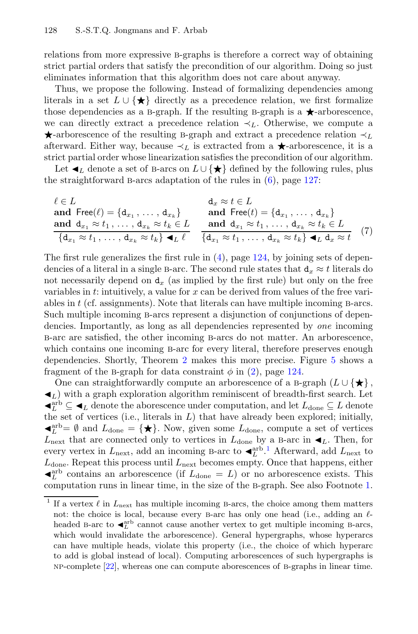relations from more expressive b-graphs is therefore a correct way of obtaining strict partial orders that satisfy the precondition of our algorithm. Doing so just eliminates information that this algorithm does not care about anyway.

Thus, we propose the following. [In](#page-10-1)stead [of fo](#page-10-1)rmalizing dependencies among literals in a set  $L \cup {\star}$  directly as a precedence relation, we first formalize those dependencies as a B-graph. If the resulting B-graph is a  $\star$ -arborescence,<br>we can directly extract a precedence relation  $\rightarrow r$ . Otherwise, we compute a we can directly extract a precedence relation  $\prec_L$ . Otherwise, we compute a  $\star$ -arborescence of the resulting B-graph and extract a precedence relation  $\prec_L$ <br>afterward Either way because  $\prec_L$  is extracted from a  $\star$ -arborescence it is a afterward. Either way, because  $\prec_L$  is extracted from a  $\bigstar$ -arborescence, it is a strict partial order whose linearization satisfies the precondition of our algorithm.

Let  $\blacktriangleleft_L$  denote a set [of](#page-7-2) B-arcs [on](#page-7-2)  $L \cup {\blacktriangleleft}$  defined by the following rules, plus<br>a straightforward B-arcs adaptation of the rules in (6) page 127. the straightforward B-arcs adaptation of the rules in  $(6)$ , page 127:

$$
\ell \in L
$$
\nand  $\text{Free}(\ell) = \{d_{x_1}, \ldots, d_{x_k}\}$ \nand  $\ell \in L$ \n
$$
\text{and } d_{x_1} \approx t_1, \ldots, d_{x_k} \approx t_k \in L
$$
\n
$$
\text{and } d_{x_1} \approx t_1, \ldots, d_{x_k} \approx t_k \in L
$$
\n
$$
\text{and } d_{x_1} \approx t_1, \ldots, d_{x_k} \approx t_k \quad \text{and } d_{x_1} \approx t_1, \ldots, d_{x_k} \approx t_k \in L
$$
\n
$$
\text{and } d_{x_1} \approx t_1, \ldots, d_{x_k} \approx t_k \quad (7)
$$

The first rule generalizes the first rule in (4), page 124, by joining sets of dependencies of a lite[ra](#page-12-1)l in a single B-arc. The second rule [st](#page-10-0)ates that  $d_x \approx t$  literals do not necessarily depend on  $d_x$  ([as](#page-7-0) implie[d by](#page-7-0) the first rule) but only on the free variables in  $t$ : intuitively, a value for  $x$  can be derived from values of the free variables in  $t$  (cf. assignments). Note that literals can have multiple incoming B-arcs. Such multiple incoming b-arcs represent a disjunction of conjunctions of dependencies. Importantly, as long as all dependencies represented by *one* incoming b-arc are satisfied, the other incoming b-arcs do not matter. An arborescence, which contains one incoming B-arc for every literal, therefore preserves enough dependencies. Shortly, Theorem 2 [m](#page-11-0)akes this more precise. Figure 5 shows a fragment of the B-graph for data constraint  $\phi$  in (2), page 124.

<span id="page-11-0"></span>One can straightforwardly compute an arborescence of a B-graph  $(L \cup {\star}, \cdot)$ , with a graph exploration algorithm reminiscent of breadth-first search. Let  $\blacktriangleleft_L$ ) with a graph exploration algorithm reminiscent of bre[adt](#page-11-0)h-first search. Let  $\blacktriangleleft_L^{\text{arb}} \subseteq \blacktriangleleft_L$  denote the aborescence under computation, and let  $L_{\text{done}} \subseteq L$  denote the set of vertices (i.e., literals in  $L$ ) that have already been explored; initially,  $\blacktriangleleft_L^{\text{arb}} = \emptyset$  and  $L_{\text{done}} = {\star}.$  Now, given some  $L_{\text{done}}$ , compute a set of vertices  $\overline{L}_{\text{next}}$  that are connected only to vertices in  $L_{\text{done}}$  by a B-arc in  $\blacktriangleleft_L$ . Then, for every vertex in  $L_{\text{next}}$ , add an incoming B-arc to  $\blacktriangleleft_L^{\text{arb.1}}$ . Afterward, add  $L_{\text{next}}$  to  $L_{\text{1}}$ . Benest this process until  $L_{\text{2}}$  becomes empty. Once that happens either  $L_{\text{done}}$ . Repeat this process until  $L_{\text{next}}$  becomes empty. Once that happens, either  $\blacktriangleleft_L^{\text{arb}}$  contains an arborescence (if  $L_{\text{done}} = L$ ) or no arborescence exists. This computation runs in linear time, in the size of the b-graph. See also Footnote 1.

If a vertex  $\ell$  in  $L_{\text{next}}$  has multiple incoming B-arcs, the choice among them matters not: the choice is local, because every B-arc has only one head (i.e., adding an  $\ell$ headed B-arc to  $\blacktriangleleft_L^{\text{atb}}$  cannot cause another vertex to get multiple incoming B-arcs, which would invalidate the arborescence). General hypergraphs, whose hyperarcs can have multiple heads, violate this property (i.e., the choice of which hyperarc to add is global instead of local). Computing arborescences of such hypergraphs is  $NP-complete [22]$ , whereas one can compute aborescences of B-graphs in linear time.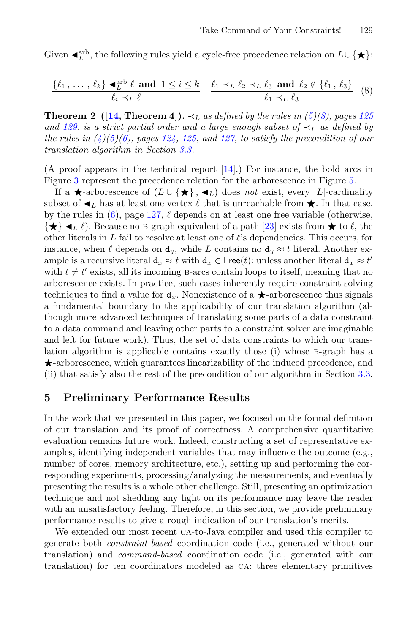<span id="page-12-2"></span><span id="page-12-1"></span>[Gi](#page-10-1)v[e](#page-8-2)n  $\blacktriangleleft_L^{\text{arb}}$ [, th](#page-7-2)e [foll](#page-8-2)owin[g rul](#page-10-1)es yield a cycle-free precedence relation on  $L \cup {\blacktriangleleft}$ :

$$
\frac{\{\ell_1,\ldots,\ell_k\} \blacktriangleleft_L^{\text{arb}} \ell \text{ and } 1 \le i \le k}{\ell_i \prec_L \ell} \quad \frac{\ell_1 \prec_L \ell_2 \prec_L \ell_3 \text{ and } \ell_2 \notin \{\ell_1,\ell_3\}}{\ell_1 \prec_L \ell_3} \quad (8)
$$

**Theorem 2** ([14, Theorem 4]).  $\prec_L$  *as defined by the rules in (5)(8), pages* 125 and 1[29, is](#page-10-1) a strict partial order and a large enough subset of  $\prec_L$  as defined by *the rules in (4)(5)(6), pages 124, 1[25,](#page-15-12) and 127, to satisfy the precondition of our translation algorithm in Section 3.3.*

(A proof appears in the technical report [14].) For instance, the bold arcs in Figure 3 represent the precedence relation for the arborescence in Figure 5.

<span id="page-12-0"></span>If a  $\star$ -arborescence of  $(L \cup {\star}, {\star}_L)$  does *not* exist, every |L|-cardinality subset of  $\blacktriangleleft_L$  has at least one vertex  $\ell$  that is unreachable from  $\blacktriangle$ . In that case, by the rules in  $(6)$ , page 127,  $\ell$  depends on at least one free variable (otherwise,  $\{\star\} \blacktriangleleft L$   $\ell$ ). Because no B-graph equivalent of a path [23] exists from  $\star$  to  $\ell$ , the other literals in L fail to resolve at least one of  $\ell$ 's dependencies. This occurs for other literals in L fail to resolve at least one of  $\ell$ 's dependencies. This occurs, for instance, when  $\ell$  depends on  $d_y$ , while L contains no  $d_y \approx t$  literal. Another example is a recursive literal  $d_x \approx t$  with  $d_x \in \text{Free}(t)$ : unless another literal  $d_x \approx t'$ with  $t \neq t'$  exists, all its incoming B-arcs contain loops to itself, meaning that no<br>arborescence exists. In practice, such cases inherently require constraint solving arborescence exists. In practice, such cases inherently req[uire](#page-8-0) constraint solving techniques to find a value for  $d_x$ . Nonexistence of a  $\star$ -arborescence thus signals a fundamental boundary to the applicability of our translation algorithm (although more advanced techniques of translating some parts of a data constraint to a data command and leaving other parts to a constraint solver are imaginable and left for future work). Thus, the set of data constraints to which our translation algorithm is applicable contains exactly those (i) whose B-graph has a  $\star$ -arborescence, which guarantees linearizability of the induced precedence, and (ii) that satisfy also the rest of the precondition of our algorithm in Section 3.3.

# **5 Preliminary Performance Results**

In the work that we presented in this paper, we focused on the formal definition of our translation and its proof of correctness. A comprehensive quantitative evaluation remains future work. Indeed, constructing a set of representative examples, identifying independent variables that may influence the outcome (e.g., number of cores, memory architecture, etc.), setting up and performing the corresponding experiments, processing/analyzing the measurements, and eventually presenting the results is a whole other challenge. Still, presenting an optimization technique and not shedding any light on its performance may leave the reader with an unsatisfactory feeling. Therefore, in this section, we provide preliminary performance results to give a rough indication of our translation's merits.

We extended our most recent CA-to-Java compiler and used this compiler to generate both *constraint-based* coordination code (i.e., generated without our translation) and *command-based* coordination code (i.e., generated with our translation) for ten coordinators modeled as ca: three elementary primitives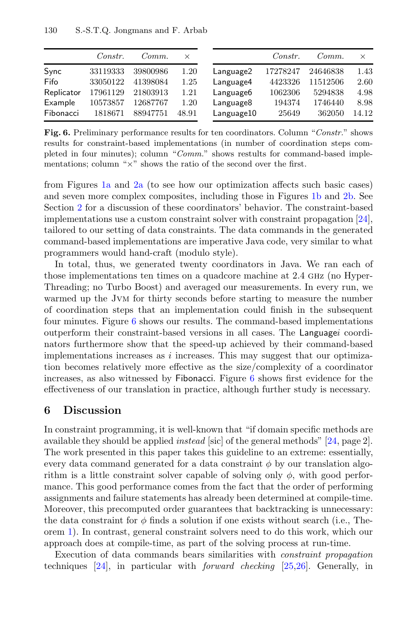<span id="page-13-0"></span>130 S.-S.T.Q. Jongmans and F. Arbab

|            | Constr.  | Comm.    | $\times$ |            | Constr.  | Comm.    | $\times$ |
|------------|----------|----------|----------|------------|----------|----------|----------|
| Sync       | 33119333 | 39800986 | 1.20     | Language2  | 17278247 | 24646838 | 1.43     |
| Fifo       | 33050122 | 41398084 | 1.25     | Language4  | 4423326  | 11512506 | 2.60     |
| Replicator | 17961129 | 21803913 | 1.21     | Language6  | 1062306  | 5294838  | 4.98     |
| Example    | 10573857 | 12687767 | 1.20     | Language8  | 194374   | 1746440  | 8.98     |
| Fibonacci  | 1818671  | 88947751 | 48.91    | Language10 | 25649    | 362050   | 14.12    |

**Fig. 6.** Preliminary performance results for ten coordinators. [Colu](#page-15-13)mn "*Constr.*" shows results for constraint-based implementations (in number of coordination steps completed in four minutes); column "*Comm.*" shows restults for command-based implementations; column " $\times$ " shows the ratio of the second over the first.

from Figures 1a and 2a (to see how our optimization affects such basic cases) and seven more complex composites, including those in Figures 1b and 2b. See Section 2 for a discussion of these coordinators' behavior. The constraint-based implementations use a custom constraint solver with constraint propagation [24], tai[lor](#page-13-0)ed to our setting of data constraints. The data commands in the generated command-based implementations are imperative Java code, very similar to what programmers would hand-craft (modulo style).

In total, thus, we generated twenty coordinators in Java. We ran each of those implementations ten times on a quadcore machine at 2.4 ghz (no Hyper-Threading; no Turbo Boost) a[nd](#page-13-0) averaged our measurements. In every run, we warmed up the Jvm for thirty seconds before starting to measure the number of coordination steps that an implementation could finish in the subsequent four minutes. Figure 6 shows our results. The command-based implementations outperform their constraint-based versions in all cases. The Language<sup>i</sup> coordinators furthermore show that the speed-up achieved by their command-based implementations increases as  $i$  increases. This m[ay s](#page-15-13)uggest that our optimization becomes relatively more effective as the size/complexity of a coordinator increases, as also witnessed by Fibonacci. Figure <sup>6</sup> shows first evidence for the effectiveness of our translation in practice, although further study is necessary.

# **6 Discussion**

In constraint programming, it is well-known that "if domain specific methods are available they should be applied *instead* [sic] of the general methods" [24, page 2]. The work presented in this paper takes this guideline to an extreme: essentially, every data command generated for a data constraint  $\phi$  by our translation algorithm is a little constraint solver capa[ble](#page-15-14) [of](#page-15-15) solving only  $\phi$ , with good performance. This good performance comes from the fact that the order of performing assignments and failure statements has already been determined at compile-time. Moreover, this precomputed order guarantees that backtracking is unnecessary: the data constraint for  $\phi$  finds a solution if one exists without search (i.e., Theorem 1). In contrast, general constraint solvers need to do this work, which our approach does at compile-time, as part of the solving process at run-time.

Execution of data commands bears similarities with *constraint propagation* techniques [24], in particular with *forward checking* [25,26]. Generally, in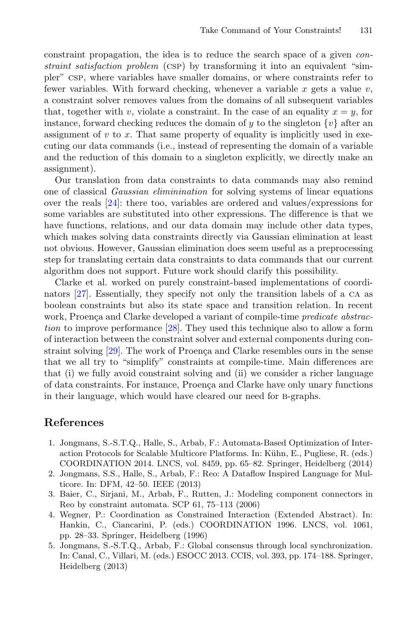constraint propagation, the idea is to reduce the search space of a given *constraint satisfaction problem* (CSP) by transforming it into an equivalent "simpler" csp, where variables have smaller domains, or where constraints refer to fewer variables. With forward checking, whenever a variable  $x$  gets a value  $v$ , a constraint solver removes values from the domains of all subsequent variables that, together with v, violate a constraint. In the case of an equality  $x = y$ , for instance, forward checking reduces the domain of y to the singleton  $\{v\}$  after an assignment of  $v$  to  $x$ . That same property of equality is implicitly used in executing our data commands (i.e., instead of representing the domain of a variable and the reduction of this domain to a singleton explicitly, we directly make an assignment).

Our translation from data constraints to data commands may also remind one of classical *Gaussian eliminination* for solving systems of linear equations over the reals [24]: there too, variables are ordered and values/expressions for some variables are substituted into other expressions. The difference is that we have functions, relations, and our data domain may include other data types, which mak[es so](#page-15-16)lving data constraints directly via Gaussian elimination at least not obvious. However, Gaussian elimination does seem useful as a preprocessing [s](#page-15-17)tep for translating certain data constraints to data commands that our current algorithm does not support. Future work should clarify this possibility.

<span id="page-14-3"></span><span id="page-14-2"></span><span id="page-14-1"></span><span id="page-14-0"></span>Clarke et al. worked on purely constraint-based implementations of coordinators [27]. Essentially, they specify not only the transition labels of a ca as boolean constraints but also its state space and transition relation. In recent work, Proença and Clarke developed a variant of compile-time *predicate abstraction* to improve performance [28]. They used this technique also to allow a form of interaction between the constraint solver and external components during constraint solving  $[29]$ . The work of Proença and Clarke resembles ours in the sense that we all try to "simplify" constraints at compile-time. Main differences are that (i) we fully avoid constraint solving and (ii) we consider a richer language of data constraints. For instance, Proença and Clarke have only unary functions in their language, which would have cleared our need for b-graphs.

# <span id="page-14-4"></span>**References**

- 1. Jongmans, S.-S.T.Q., Halle, S., Arbab, F.: Automata-Based Optimization of Interaction Protocols for Scalable Multicore Platforms. In: Kühn, E., Pugliese, R. (eds.) COORDINATION 2014. LNCS, vol. 8459, pp. 65–82. Springer, Heidelberg (2014)
- 2. Jongmans, S.S., Halle, S., Arbab, F.: Reo: A Dataflow Inspired Language for Multicore. In: DFM, 42–50. IEEE (2013)
- 3. Baier, C., Sirjani, M., Arbab, F., Rutten, J.: Modeling component connectors in Reo by constraint automata. SCP 61, 75–113 (2006)
- 4. Wegner, P.: Coordination as Constrained Interaction (Extended Abstract). In: Hankin, C., Ciancarini, P. (eds.) COORDINATION 1996. LNCS, vol. 1061, pp. 28–33. Springer, Heidelberg (1996)
- 5. Jongmans, S.-S.T.Q., Arbab, F.: Global consensus through local synchronization. In: Canal, C., Villari, M. (eds.) ESOCC 2013. CCIS, vol. 393, pp. 174–188. Springer, Heidelberg (2013)